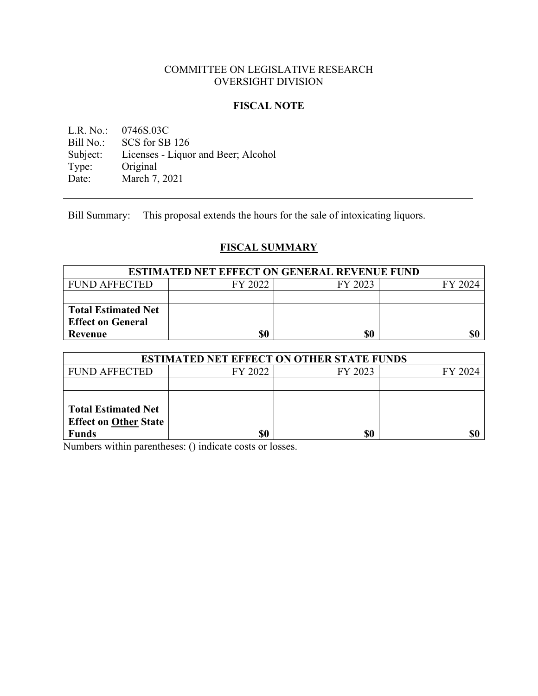## COMMITTEE ON LEGISLATIVE RESEARCH OVERSIGHT DIVISION

## **FISCAL NOTE**

L.R. No.: 0746S.03C<br>Bill No.: SCS for SB SCS for SB 126 Subject: Licenses - Liquor and Beer; Alcohol<br>Type: Original Type: Original<br>Date: March 7, March 7, 2021

Bill Summary: This proposal extends the hours for the sale of intoxicating liquors.

# **FISCAL SUMMARY**

| <b>ESTIMATED NET EFFECT ON GENERAL REVENUE FUND</b> |         |         |         |
|-----------------------------------------------------|---------|---------|---------|
| <b>FUND AFFECTED</b>                                | FY 2022 | FY 2023 | FY 2024 |
|                                                     |         |         |         |
| <b>Total Estimated Net</b>                          |         |         |         |
| <b>Effect on General</b>                            |         |         |         |
| Revenue                                             | \$0     | \$0     | \$0     |

| <b>ESTIMATED NET EFFECT ON OTHER STATE FUNDS</b> |         |         |         |
|--------------------------------------------------|---------|---------|---------|
| <b>FUND AFFECTED</b>                             | FY 2022 | FY 2023 | FY 2024 |
|                                                  |         |         |         |
|                                                  |         |         |         |
| <b>Total Estimated Net</b>                       |         |         |         |
| <b>Effect on Other State</b>                     |         |         |         |
| <b>Funds</b>                                     | \$0     | \$0     |         |

Numbers within parentheses: () indicate costs or losses.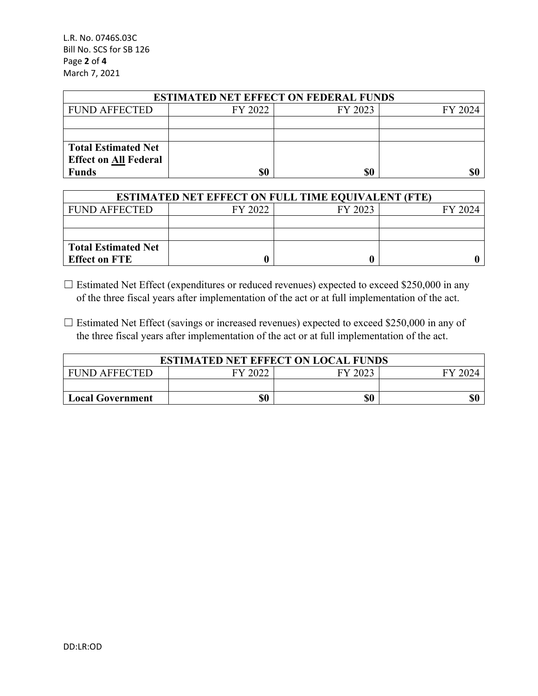L.R. No. 0746S.03C Bill No. SCS for SB 126 Page **2** of **4** March 7, 2021

| <b>ESTIMATED NET EFFECT ON FEDERAL FUNDS</b> |         |         |         |  |
|----------------------------------------------|---------|---------|---------|--|
| <b>FUND AFFECTED</b>                         | FY 2022 | FY 2023 | FY 2024 |  |
|                                              |         |         |         |  |
|                                              |         |         |         |  |
| <b>Total Estimated Net</b>                   |         |         |         |  |
| <b>Effect on All Federal</b>                 |         |         |         |  |
| <b>Funds</b>                                 | \$0     | \$0     |         |  |

| <b>ESTIMATED NET EFFECT ON FULL TIME EQUIVALENT (FTE)</b> |         |         |         |  |
|-----------------------------------------------------------|---------|---------|---------|--|
| <b>FUND AFFECTED</b>                                      | FY 2022 | FY 2023 | FY 2024 |  |
|                                                           |         |         |         |  |
|                                                           |         |         |         |  |
| <b>Total Estimated Net</b>                                |         |         |         |  |
| <b>Effect on FTE</b>                                      |         |         |         |  |

 $\Box$  Estimated Net Effect (expenditures or reduced revenues) expected to exceed \$250,000 in any of the three fiscal years after implementation of the act or at full implementation of the act.

 $\Box$  Estimated Net Effect (savings or increased revenues) expected to exceed \$250,000 in any of the three fiscal years after implementation of the act or at full implementation of the act.

| <b>ESTIMATED NET EFFECT ON LOCAL FUNDS</b> |         |         |         |
|--------------------------------------------|---------|---------|---------|
| <b>FUND AFFECTED</b>                       | FY 2022 | FY 2023 | FY 2024 |
|                                            |         |         |         |
| <b>Local Government</b>                    | \$0     | \$0     |         |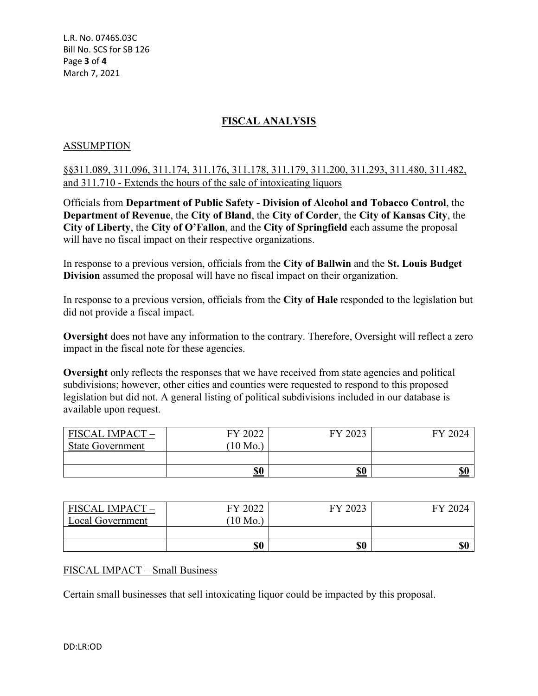L.R. No. 0746S.03C Bill No. SCS for SB 126 Page **3** of **4** March 7, 2021

# **FISCAL ANALYSIS**

#### ASSUMPTION

§§311.089, 311.096, 311.174, 311.176, 311.178, 311.179, 311.200, 311.293, 311.480, 311.482, and 311.710 - Extends the hours of the sale of intoxicating liquors

Officials from **Department of Public Safety - Division of Alcohol and Tobacco Control**, the **Department of Revenue**, the **City of Bland**, the **City of Corder**, the **City of Kansas City**, the **City of Liberty**, the **City of O'Fallon**, and the **City of Springfield** each assume the proposal will have no fiscal impact on their respective organizations.

In response to a previous version, officials from the **City of Ballwin** and the **St. Louis Budget Division** assumed the proposal will have no fiscal impact on their organization.

In response to a previous version, officials from the **City of Hale** responded to the legislation but did not provide a fiscal impact.

**Oversight** does not have any information to the contrary. Therefore, Oversight will reflect a zero impact in the fiscal note for these agencies.

**Oversight** only reflects the responses that we have received from state agencies and political subdivisions; however, other cities and counties were requested to respond to this proposed legislation but did not. A general listing of political subdivisions included in our database is available upon request.

| <b>FISCAL IMPACT</b>    | FY 2022  | FY 2023 | FY 2024 |
|-------------------------|----------|---------|---------|
| <b>State Government</b> | $10$ Mo. |         |         |
|                         | \$0      | \$0     | \$0     |

| <b>FISCAL IMPACT -</b>  | FY 2022  | FY 2023    | FV 2024 |
|-------------------------|----------|------------|---------|
| <b>Local Government</b> | $10$ Mo. |            |         |
|                         |          |            |         |
|                         | \$0      | <u>\$0</u> | \$0     |

#### FISCAL IMPACT – Small Business

Certain small businesses that sell intoxicating liquor could be impacted by this proposal.